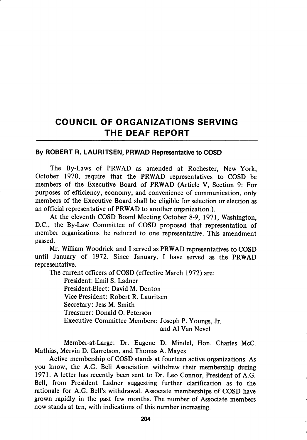## COUNCIL OF ORGANIZATIONS SERVING THE DEAF REPORT

## By ROBERT R. LAURITSEN, PRWAD Representative to COSD

The By-Laws of PRWAD as amended at Rochester, New York, October 1970, require that the PRWAD representatives to COSD be members of the Executive Board of PRWAD (Article V, Section 9: For purposes of efficiency, economy, and convenience of communication, only members of the Executive Board shall be eligible for selection or election as an official representative of PRWAD to another organization.).

At the eleventh COSD Board Meeting October 8-9, 1971, Washington, D.C., the By-Law Committee of COSD proposed that representation of member organizations be reduced to one representative. This amendment passed.

Mr. William Woodrick and I served as PRWAD representatives to COSD until January of 1972. Since January, I have served as the PRWAD representative.

The current officers of COSD (effective March 1972) are:

President: Emil S. Ladner President-Elect: David M. Denton Vice President: Robert R. Lauritsen Secretary: Jess M. Smith Treasurer: Donald O. Peterson Executive Committee Members: Joseph P. Youngs, Jr. and A1 Van Nevel

Member-at-Large: Dr. Eugene D. Mindel, Hon. Charles McC. Mathias, Mervin D. Garretson, and Thomas A. Mayes

Active membership of COSD stands at fourteen active organizations. As you know, the A.G. Bell Association withdrew their membership during 1971. A letter has recently been sent to Dr. Leo Connor, President of A.G. Bell, from President Ladner suggesting further clarification as to the rationale for A.G. Bell's withdrawal. Associate memberships of COSD have grown rapidly in the past few months. The number of Associate members now stands at ten, with indications of this number increasing.